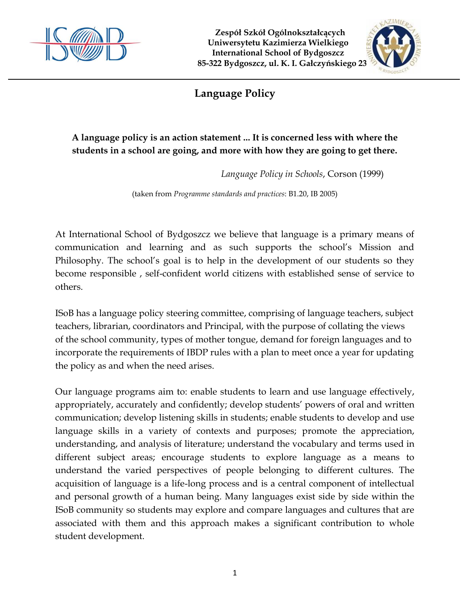

 **Zespół Szkół Ogólnokształcących Uniwersytetu Kazimierza Wielkiego International School of Bydgoszcz 85-322 Bydgoszcz, ul. K. I. Gałczyńskiego 23**



# **Language Policy**

## **A language policy is an action statement ... It is concerned less with where the students in a school are going, and more with how they are going to get there.**

*Language Policy in Schools*, Corson (1999)

(taken from *Programme standards and practices*: B1.20, IB 2005)

At International School of Bydgoszcz we believe that language is a primary means of communication and learning and as such supports the school's Mission and Philosophy. The school's goal is to help in the development of our students so they become responsible , self-confident world citizens with established sense of service to others.

ISoB has a language policy steering committee, comprising of language teachers, subject teachers, librarian, coordinators and Principal, with the purpose of collating the views of the school community, types of mother tongue, demand for foreign languages and to incorporate the requirements of IBDP rules with a plan to meet once a year for updating the policy as and when the need arises.

Our language programs aim to: enable students to learn and use language effectively, appropriately, accurately and confidently; develop students' powers of oral and written communication; develop listening skills in students; enable students to develop and use language skills in a variety of contexts and purposes; promote the appreciation, understanding, and analysis of literature; understand the vocabulary and terms used in different subject areas; encourage students to explore language as a means to understand the varied perspectives of people belonging to different cultures. The acquisition of language is a life-long process and is a central component of intellectual and personal growth of a human being. Many languages exist side by side within the ISoB community so students may explore and compare languages and cultures that are associated with them and this approach makes a significant contribution to whole student development.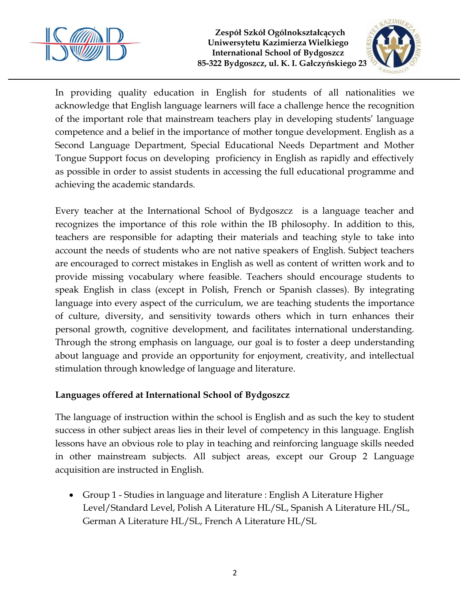

 **Zespół Szkół Ogólnokształcących Uniwersytetu Kazimierza Wielkiego International School of Bydgoszcz 85-322 Bydgoszcz, ul. K. I. Gałczyńskiego 23**



In providing quality education in English for students of all nationalities we acknowledge that English language learners will face a challenge hence the recognition of the important role that mainstream teachers play in developing students' language competence and a belief in the importance of mother tongue development. English as a Second Language Department, Special Educational Needs Department and Mother Tongue Support focus on developing proficiency in English as rapidly and effectively as possible in order to assist students in accessing the full educational programme and achieving the academic standards.

Every teacher at the International School of Bydgoszcz is a language teacher and recognizes the importance of this role within the IB philosophy. In addition to this, teachers are responsible for adapting their materials and teaching style to take into account the needs of students who are not native speakers of English. Subject teachers are encouraged to correct mistakes in English as well as content of written work and to provide missing vocabulary where feasible. Teachers should encourage students to speak English in class (except in Polish, French or Spanish classes). By integrating language into every aspect of the curriculum, we are teaching students the importance of culture, diversity, and sensitivity towards others which in turn enhances their personal growth, cognitive development, and facilitates international understanding. Through the strong emphasis on language, our goal is to foster a deep understanding about language and provide an opportunity for enjoyment, creativity, and intellectual stimulation through knowledge of language and literature.

### **Languages offered at International School of Bydgoszcz**

The language of instruction within the school is English and as such the key to student success in other subject areas lies in their level of competency in this language. English lessons have an obvious role to play in teaching and reinforcing language skills needed in other mainstream subjects. All subject areas, except our Group 2 Language acquisition are instructed in English.

 Group 1 - Studies in language and literature : English A Literature Higher Level/Standard Level, Polish A Literature HL/SL, Spanish A Literature HL/SL, German A Literature HL/SL, French A Literature HL/SL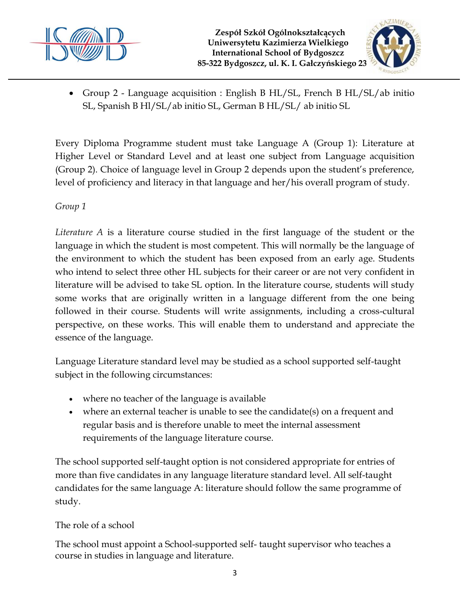



 Group 2 - Language acquisition : English B HL/SL, French B HL/SL/ab initio SL, Spanish B Hl/SL/ab initio SL, German B HL/SL/ ab initio SL

Every Diploma Programme student must take Language A (Group 1): Literature at Higher Level or Standard Level and at least one subject from Language acquisition (Group 2). Choice of language level in Group 2 depends upon the student's preference, level of proficiency and literacy in that language and her/his overall program of study.

### *Group 1*

*Literature A* is a literature course studied in the first language of the student or the language in which the student is most competent. This will normally be the language of the environment to which the student has been exposed from an early age. Students who intend to select three other HL subjects for their career or are not very confident in literature will be advised to take SL option. In the literature course, students will study some works that are originally written in a language different from the one being followed in their course. Students will write assignments, including a cross-cultural perspective, on these works. This will enable them to understand and appreciate the essence of the language.

Language Literature standard level may be studied as a school supported self-taught subject in the following circumstances:

- where no teacher of the language is available
- where an external teacher is unable to see the candidate(s) on a frequent and regular basis and is therefore unable to meet the internal assessment requirements of the language literature course.

The school supported self-taught option is not considered appropriate for entries of more than five candidates in any language literature standard level. All self-taught candidates for the same language A: literature should follow the same programme of study.

### The role of a school

The school must appoint a School-supported self- taught supervisor who teaches a course in studies in language and literature.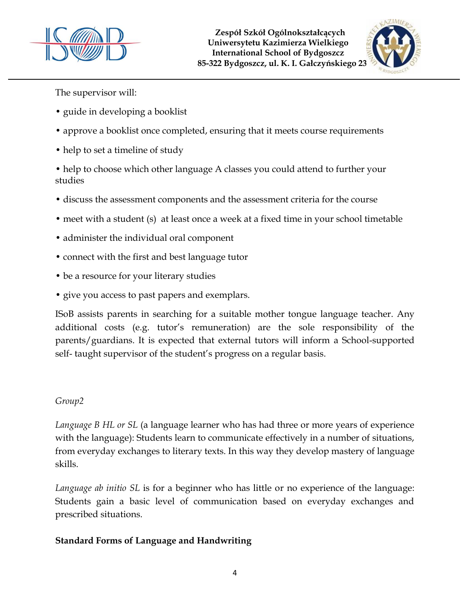



The supervisor will:

- guide in developing a booklist
- approve a booklist once completed, ensuring that it meets course requirements
- help to set a timeline of study

• help to choose which other language A classes you could attend to further your studies

- discuss the assessment components and the assessment criteria for the course
- meet with a student (s) at least once a week at a fixed time in your school timetable
- administer the individual oral component
- connect with the first and best language tutor
- be a resource for your literary studies
- give you access to past papers and exemplars.

ISoB assists parents in searching for a suitable mother tongue language teacher. Any additional costs (e.g. tutor's remuneration) are the sole responsibility of the parents/guardians. It is expected that external tutors will inform a School-supported self- taught supervisor of the student's progress on a regular basis.

### *Group2*

*Language B HL or SL* (a language learner who has had three or more years of experience with the language): Students learn to communicate effectively in a number of situations, from everyday exchanges to literary texts. In this way they develop mastery of language skills.

*Language ab initio SL* is for a beginner who has little or no experience of the language: Students gain a basic level of communication based on everyday exchanges and prescribed situations.

### **Standard Forms of Language and Handwriting**